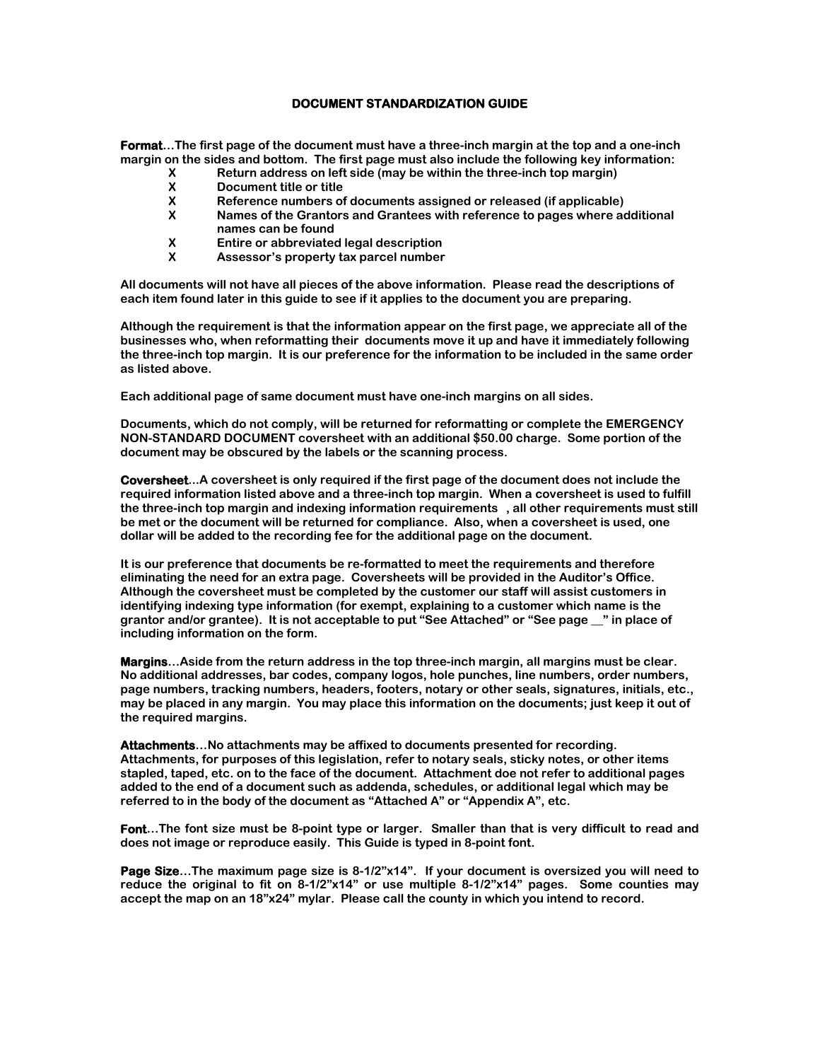## **DOCUMENT STANDARDIZATION GUIDE**

**Format…The first page of the document must have a three-inch margin at the top and a one-inch margin on the sides and bottom. The first page must also include the following key information:**

- **X Return address on left side (may be within the three-inch top margin)**
- **X Document title or title**
- **X Reference numbers of documents assigned or released (if applicable)**
- **X Names of the Grantors and Grantees with reference to pages where additional names can be found**
- **X Entire or abbreviated legal description**
- **X Assessor's property tax parcel number**

**All documents will not have all pieces of the above information. Please read the descriptions of each item found later in this guide to see if it applies to the document you are preparing.**

**Although the requirement is that the information appear on the first page, we appreciate all of the businesses who, when reformatting their documents move it up and have it immediately following the three-inch top margin. It is our preference for the information to be included in the same order as listed above.**

**Each additional page of same document must have one-inch margins on all sides.**

**Documents, which do not comply, will be returned for reformatting or complete the EMERGENCY NON-STANDARD DOCUMENT coversheet with an additional \$50.00 charge. Some portion of the document may be obscured by the labels or the scanning process.**

**Coversheet...A coversheet is only required if the first page of the document does not include the required information listed above and a three-inch top margin. When a coversheet is used to fulfill the three-inch top margin and indexing information requirements , all other requirements must still be met or the document will be returned for compliance. Also, when a coversheet is used, one dollar will be added to the recording fee for the additional page on the document.**

**It is our preference that documents be re-formatted to meet the requirements and therefore eliminating the need for an extra page. Coversheets will be provided in the Auditor's Office. Although the coversheet must be completed by the customer our staff will assist customers in identifying indexing type information (for exempt, explaining to a customer which name is the grantor and/or grantee). It is not acceptable to put "See Attached" or "See page \_\_" in place of including information on the form.**

**Margins…Aside from the return address in the top three-inch margin, all margins must be clear. No additional addresses, bar codes, company logos, hole punches, line numbers, order numbers, page numbers, tracking numbers, headers, footers, notary or other seals, signatures, initials, etc., may be placed in any margin. You may place this information on the documents; just keep it out of the required margins.**

**Attachments…No attachments may be affixed to documents presented for recording. Attachments, for purposes of this legislation, refer to notary seals, sticky notes, or other items stapled, taped, etc. on to the face of the document. Attachment doe not refer to additional pages added to the end of a document such as addenda, schedules, or additional legal which may be referred to in the body of the document as "Attached A" or "Appendix A", etc.**

**Font…The font size must be 8-point type or larger. Smaller than that is very difficult to read and does not image or reproduce easily. This Guide is typed in 8-point font.**

**Page Size…The maximum page size is 8-1/2"x14". If your document is oversized you will need to reduce the original to fit on 8-1/2"x14" or use multiple 8-1/2"x14" pages. Some counties may accept the map on an 18"x24" mylar. Please call the county in which you intend to record.**